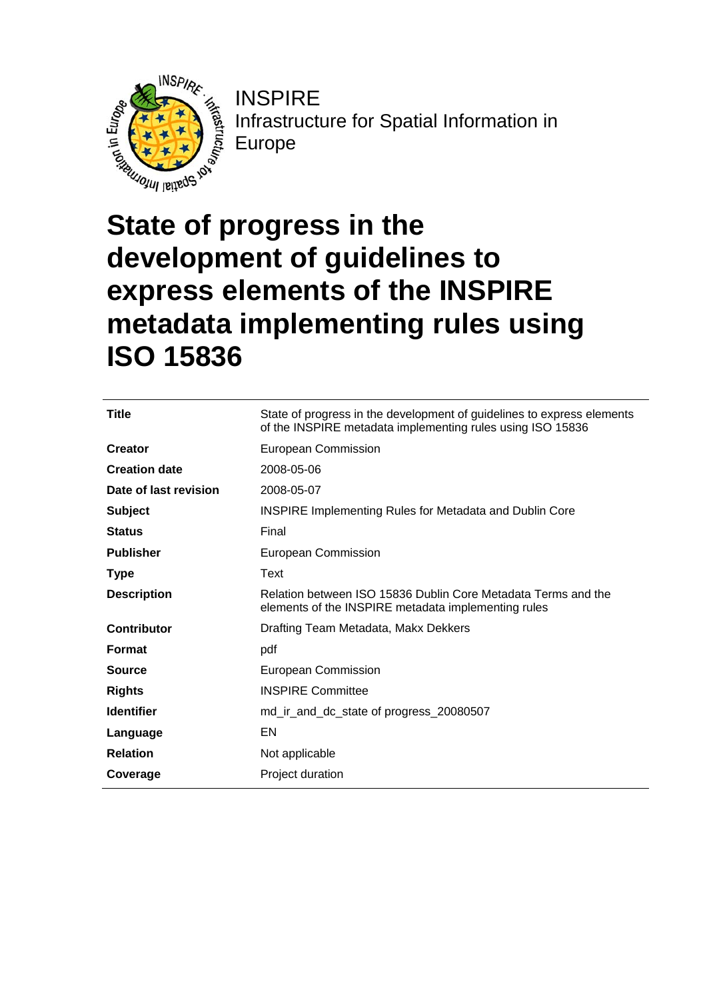

**INSPIRE** Infrastructure for Spatial Information in Europe

# **State of progress in the development of guidelines to express elements of the INSPIRE metadata implementing rules using ISO 15836**

| Title                 | State of progress in the development of guidelines to express elements<br>of the INSPIRE metadata implementing rules using ISO 15836 |  |
|-----------------------|--------------------------------------------------------------------------------------------------------------------------------------|--|
| <b>Creator</b>        | European Commission                                                                                                                  |  |
| <b>Creation date</b>  | 2008-05-06                                                                                                                           |  |
| Date of last revision | 2008-05-07                                                                                                                           |  |
| <b>Subject</b>        | <b>INSPIRE Implementing Rules for Metadata and Dublin Core</b>                                                                       |  |
| <b>Status</b>         | Final                                                                                                                                |  |
| <b>Publisher</b>      | European Commission                                                                                                                  |  |
| Type                  | Text                                                                                                                                 |  |
| <b>Description</b>    | Relation between ISO 15836 Dublin Core Metadata Terms and the<br>elements of the INSPIRE metadata implementing rules                 |  |
| <b>Contributor</b>    | Drafting Team Metadata, Makx Dekkers                                                                                                 |  |
| <b>Format</b>         | pdf                                                                                                                                  |  |
| <b>Source</b>         | European Commission                                                                                                                  |  |
| <b>Rights</b>         | <b>INSPIRE Committee</b>                                                                                                             |  |
| <b>Identifier</b>     | md_ir_and_dc_state of progress_20080507                                                                                              |  |
| Language              | EN                                                                                                                                   |  |
| <b>Relation</b>       | Not applicable                                                                                                                       |  |
| Coverage              | Project duration                                                                                                                     |  |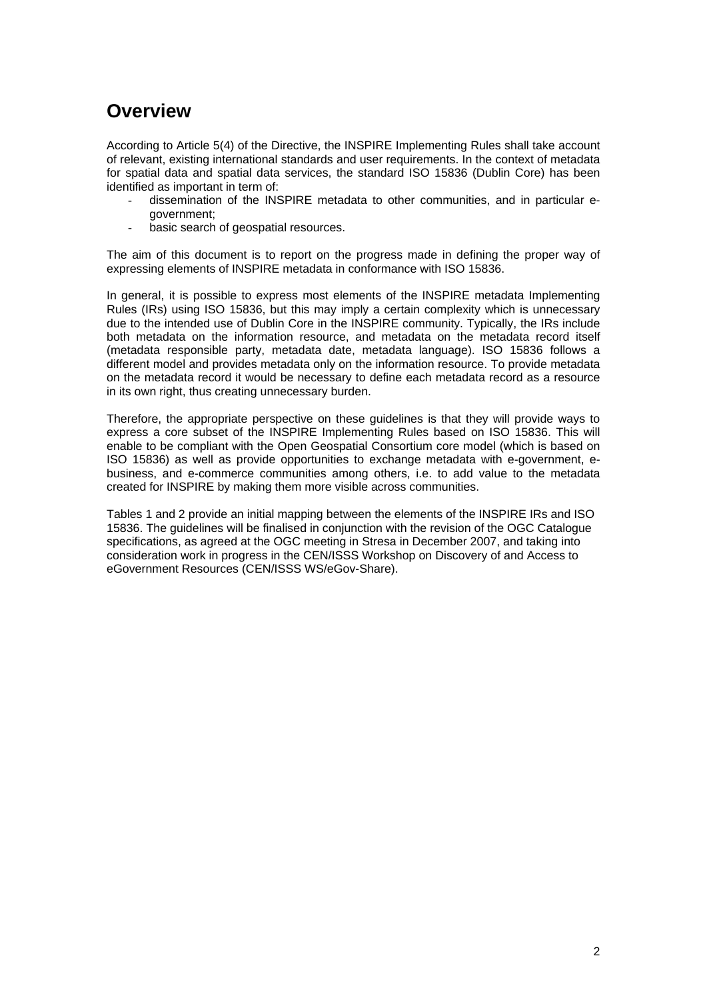## **Overview**

According to Article 5(4) of the Directive, the INSPIRE Implementing Rules shall take account of relevant, existing international standards and user requirements. In the context of metadata for spatial data and spatial data services, the standard ISO 15836 (Dublin Core) has been identified as important in term of:

- dissemination of the INSPIRE metadata to other communities, and in particular egovernment;
- basic search of geospatial resources.

The aim of this document is to report on the progress made in defining the proper way of expressing elements of INSPIRE metadata in conformance with ISO 15836.

In general, it is possible to express most elements of the INSPIRE metadata Implementing Rules (IRs) using ISO 15836, but this may imply a certain complexity which is unnecessary due to the intended use of Dublin Core in the INSPIRE community. Typically, the IRs include both metadata on the information resource, and metadata on the metadata record itself (metadata responsible party, metadata date, metadata language). ISO 15836 follows a different model and provides metadata only on the information resource. To provide metadata on the metadata record it would be necessary to define each metadata record as a resource in its own right, thus creating unnecessary burden.

Therefore, the appropriate perspective on these guidelines is that they will provide ways to express a core subset of the INSPIRE Implementing Rules based on ISO 15836. This will enable to be compliant with the Open Geospatial Consortium core model (which is based on ISO 15836) as well as provide opportunities to exchange metadata with e-government, ebusiness, and e-commerce communities among others, i.e. to add value to the metadata created for INSPIRE by making them more visible across communities.

Tables 1 and 2 provide an initial mapping between the elements of the INSPIRE IRs and ISO 15836. The guidelines will be finalised in conjunction with the revision of the OGC Catalogue specifications, as agreed at the OGC meeting in Stresa in December 2007, and taking into consideration work in progress in the CEN/ISSS Workshop on Discovery of and Access to eGovernment Resources (CEN/ISSS WS/eGov-Share).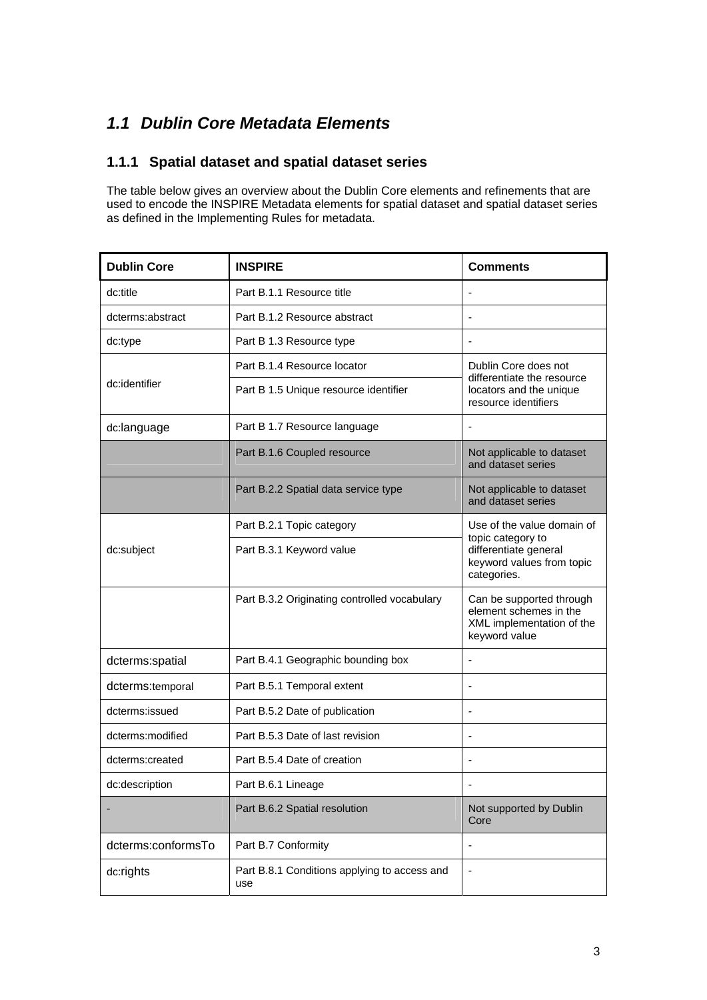### *1.1 Dublin Core Metadata Elements*

#### **1.1.1 Spatial dataset and spatial dataset series**

The table below gives an overview about the Dublin Core elements and refinements that are used to encode the INSPIRE Metadata elements for spatial dataset and spatial dataset series as defined in the Implementing Rules for metadata.

| <b>Dublin Core</b> | <b>INSPIRE</b>                                      | <b>Comments</b>                                                                                       |
|--------------------|-----------------------------------------------------|-------------------------------------------------------------------------------------------------------|
| dc:title           | Part B.1.1 Resource title                           |                                                                                                       |
| dcterms:abstract   | Part B.1.2 Resource abstract                        |                                                                                                       |
| dc:type            | Part B 1.3 Resource type                            | -                                                                                                     |
| dc:identifier      | Part B.1.4 Resource locator                         | Dublin Core does not<br>differentiate the resource<br>locators and the unique<br>resource identifiers |
|                    | Part B 1.5 Unique resource identifier               |                                                                                                       |
| dc:language        | Part B 1.7 Resource language                        | $\qquad \qquad \blacksquare$                                                                          |
|                    | Part B.1.6 Coupled resource                         | Not applicable to dataset<br>and dataset series                                                       |
|                    | Part B.2.2 Spatial data service type                | Not applicable to dataset<br>and dataset series                                                       |
|                    | Part B.2.1 Topic category                           | Use of the value domain of<br>topic category to                                                       |
| dc:subject         | Part B.3.1 Keyword value                            | differentiate general<br>keyword values from topic<br>categories.                                     |
|                    | Part B.3.2 Originating controlled vocabulary        | Can be supported through<br>element schemes in the<br>XML implementation of the<br>keyword value      |
| dcterms:spatial    | Part B.4.1 Geographic bounding box                  | ٠                                                                                                     |
| dcterms:temporal   | Part B.5.1 Temporal extent                          |                                                                                                       |
| dcterms:issued     | Part B.5.2 Date of publication                      | -                                                                                                     |
| dcterms:modified   | Part B.5.3 Date of last revision                    |                                                                                                       |
| dcterms:created    | Part B.5.4 Date of creation                         | -                                                                                                     |
| dc:description     | Part B.6.1 Lineage                                  |                                                                                                       |
|                    | Part B.6.2 Spatial resolution                       | Not supported by Dublin<br>Core                                                                       |
| dcterms:conformsTo | Part B.7 Conformity                                 | $\overline{a}$                                                                                        |
| dc:rights          | Part B.8.1 Conditions applying to access and<br>use |                                                                                                       |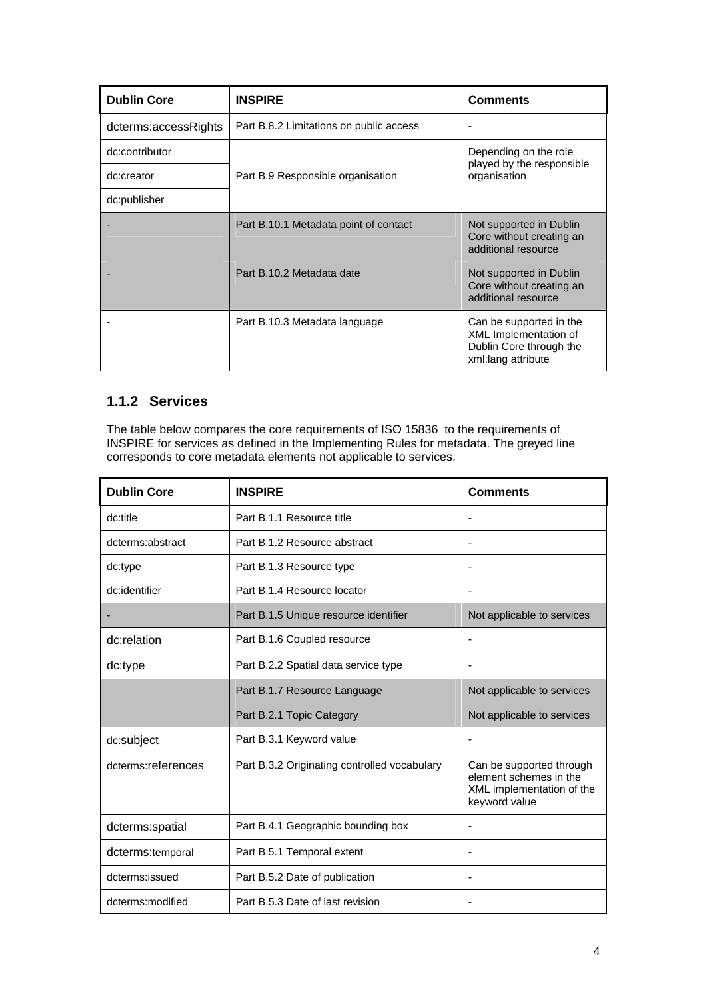| <b>Dublin Core</b>   | <b>INSPIRE</b>                          | <b>Comments</b>                                                                                   |
|----------------------|-----------------------------------------|---------------------------------------------------------------------------------------------------|
| dcterms:accessRights | Part B.8.2 Limitations on public access |                                                                                                   |
| dc:contributor       | Part B.9 Responsible organisation       | Depending on the role<br>played by the responsible<br>organisation                                |
| dc:creator           |                                         |                                                                                                   |
| dc:publisher         |                                         |                                                                                                   |
|                      | Part B.10.1 Metadata point of contact   | Not supported in Dublin<br>Core without creating an<br>additional resource                        |
|                      | Part B.10.2 Metadata date               | Not supported in Dublin<br>Core without creating an<br>additional resource                        |
|                      | Part B.10.3 Metadata language           | Can be supported in the<br>XML Implementation of<br>Dublin Core through the<br>xml:lang attribute |

#### **1.1.2 Services**

The table below compares the core requirements of ISO 15836 to the requirements of INSPIRE for services as defined in the Implementing Rules for metadata. The greyed line corresponds to core metadata elements not applicable to services.

| <b>Dublin Core</b> | <b>INSPIRE</b>                               | <b>Comments</b>                                                                                  |
|--------------------|----------------------------------------------|--------------------------------------------------------------------------------------------------|
| dc:title           | Part B.1.1 Resource title                    |                                                                                                  |
| dcterms:abstract   | Part B.1.2 Resource abstract                 | ÷                                                                                                |
| dc:type            | Part B.1.3 Resource type                     | ٠                                                                                                |
| dc:identifier      | Part B.1.4 Resource locator                  |                                                                                                  |
|                    | Part B.1.5 Unique resource identifier        | Not applicable to services                                                                       |
| dc:relation        | Part B.1.6 Coupled resource                  |                                                                                                  |
| dc:type            | Part B.2.2 Spatial data service type         | $\overline{\phantom{a}}$                                                                         |
|                    | Part B.1.7 Resource Language                 | Not applicable to services                                                                       |
|                    | Part B.2.1 Topic Category                    | Not applicable to services                                                                       |
| dc:subject         | Part B.3.1 Keyword value                     |                                                                                                  |
| dcterms:references | Part B.3.2 Originating controlled vocabulary | Can be supported through<br>element schemes in the<br>XML implementation of the<br>keyword value |
| dcterms:spatial    | Part B.4.1 Geographic bounding box           | ٠                                                                                                |
| dcterms:temporal   | Part B.5.1 Temporal extent                   | $\overline{a}$                                                                                   |
| dcterms:issued     | Part B.5.2 Date of publication               | ۰                                                                                                |
| dcterms:modified   | Part B.5.3 Date of last revision             |                                                                                                  |